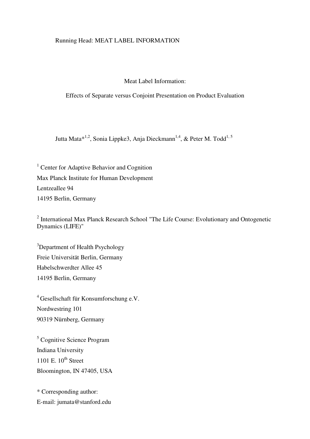# Running Head: MEAT LABEL INFORMATION

## Meat Label Information:

Effects of Separate versus Conjoint Presentation on Product Evaluation

Jutta Mata $*^{1,2}$ , Sonia Lippke3, Anja Dieckmann<sup>1,4</sup>, & Peter M. Todd<sup>1,5</sup>

<sup>1</sup> Center for Adaptive Behavior and Cognition Max Planck Institute for Human Development Lentzeallee 94 14195 Berlin, Germany

<sup>2</sup> International Max Planck Research School "The Life Course: Evolutionary and Ontogenetic Dynamics (LIFE)"

<sup>3</sup>Department of Health Psychology Freie Universität Berlin, Germany Habelschwerdter Allee 45 14195 Berlin, Germany

<sup>4</sup>Gesellschaft für Konsumforschung e.V. Nordwestring 101 90319 Nürnberg, Germany

5 Cognitive Science Program Indiana University 1101 E.  $10^{th}$  Street Bloomington, IN 47405, USA

\* Corresponding author: E-mail: jumata@stanford.edu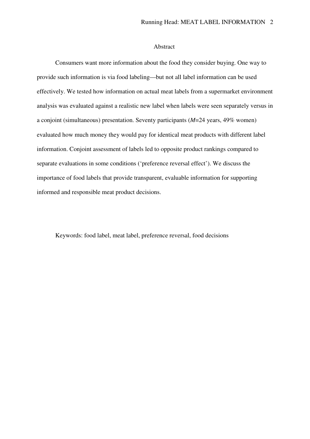### Abstract

Consumers want more information about the food they consider buying. One way to provide such information is via food labeling—but not all label information can be used effectively. We tested how information on actual meat labels from a supermarket environment analysis was evaluated against a realistic new label when labels were seen separately versus in a conjoint (simultaneous) presentation. Seventy participants (*M*=24 years, 49% women) evaluated how much money they would pay for identical meat products with different label information. Conjoint assessment of labels led to opposite product rankings compared to separate evaluations in some conditions ('preference reversal effect'). We discuss the importance of food labels that provide transparent, evaluable information for supporting informed and responsible meat product decisions.

Keywords: food label, meat label, preference reversal, food decisions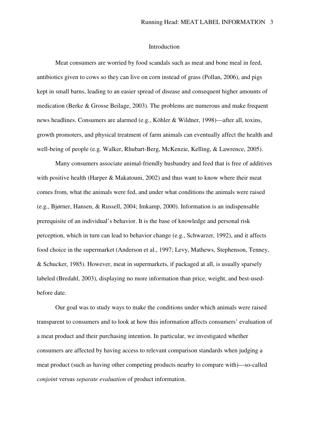### Introduction

Meat consumers are worried by food scandals such as meat and bone meal in feed, antibiotics given to cows so they can live on corn instead of grass (Pollan, 2006), and pigs kept in small barns, leading to an easier spread of disease and consequent higher amounts of medication (Berke & Grosse Beilage, 2003). The problems are numerous and make frequent news headlines. Consumers are alarmed (e.g., Köhler & Wildner, 1998)—after all, toxins, growth promoters, and physical treatment of farm animals can eventually affect the health and well-being of people (e.g. Walker, Rhubart-Berg, McKenzie, Kelling, & Lawrence, 2005).

Many consumers associate animal-friendly husbandry and feed that is free of additives with positive health (Harper & Makatouni, 2002) and thus want to know where their meat comes from, what the animals were fed, and under what conditions the animals were raised (e.g., Bjørner, Hansen, & Russell, 2004; Imkamp, 2000). Information is an indispensable prerequisite of an individual's behavior. It is the base of knowledge and personal risk perception, which in turn can lead to behavior change (e.g., Schwarzer, 1992), and it affects food choice in the supermarket (Anderson et al., 1997; Levy, Mathews, Stephenson, Tenney, & Schucker, 1985). However, meat in supermarkets, if packaged at all, is usually sparsely labeled (Bredahl, 2003), displaying no more information than price, weight, and best-usedbefore date.

Our goal was to study ways to make the conditions under which animals were raised transparent to consumers and to look at how this information affects consumers' evaluation of a meat product and their purchasing intention. In particular, we investigated whether consumers are affected by having access to relevant comparison standards when judging a meat product (such as having other competing products nearby to compare with)—so-called *conjoint* versus *separate evaluation* of product information.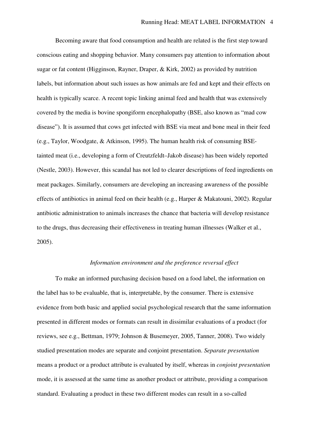Becoming aware that food consumption and health are related is the first step toward conscious eating and shopping behavior. Many consumers pay attention to information about sugar or fat content (Higginson, Rayner, Draper, & Kirk, 2002) as provided by nutrition labels, but information about such issues as how animals are fed and kept and their effects on health is typically scarce. A recent topic linking animal feed and health that was extensively covered by the media is bovine spongiform encephalopathy (BSE, also known as "mad cow disease"). It is assumed that cows get infected with BSE via meat and bone meal in their feed (e.g., Taylor, Woodgate, & Atkinson, 1995). The human health risk of consuming BSEtainted meat (i.e., developing a form of Creutzfeldt–Jakob disease) has been widely reported (Nestle, 2003). However, this scandal has not led to clearer descriptions of feed ingredients on meat packages. Similarly, consumers are developing an increasing awareness of the possible effects of antibiotics in animal feed on their health (e.g., Harper & Makatouni, 2002). Regular antibiotic administration to animals increases the chance that bacteria will develop resistance to the drugs, thus decreasing their effectiveness in treating human illnesses (Walker et al., 2005).

#### *Information environment and the preference reversal effect*

To make an informed purchasing decision based on a food label, the information on the label has to be evaluable, that is, interpretable, by the consumer. There is extensive evidence from both basic and applied social psychological research that the same information presented in different modes or formats can result in dissimilar evaluations of a product (for reviews, see e.g., Bettman, 1979; Johnson & Busemeyer, 2005, Tanner, 2008). Two widely studied presentation modes are separate and conjoint presentation. *Separate presentation* means a product or a product attribute is evaluated by itself, whereas in *conjoint presentation* mode, it is assessed at the same time as another product or attribute, providing a comparison standard. Evaluating a product in these two different modes can result in a so-called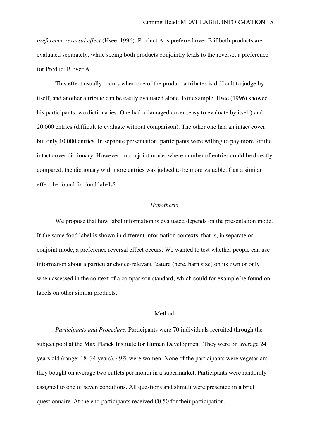*preference reversal effect* (Hsee, 1996): Product A is preferred over B if both products are evaluated separately, while seeing both products conjointly leads to the reverse, a preference for Product B over A.

This effect usually occurs when one of the product attributes is difficult to judge by itself, and another attribute can be easily evaluated alone. For example, Hsee (1996) showed his participants two dictionaries: One had a damaged cover (easy to evaluate by itself) and 20,000 entries (difficult to evaluate without comparison). The other one had an intact cover but only 10,000 entries. In separate presentation, participants were willing to pay more for the intact cover dictionary. However, in conjoint mode, where number of entries could be directly compared, the dictionary with more entries was judged to be more valuable. Can a similar effect be found for food labels?

### *Hypothesis*

We propose that how label information is evaluated depends on the presentation mode. If the same food label is shown in different information contexts, that is, in separate or conjoint mode, a preference reversal effect occurs. We wanted to test whether people can use information about a particular choice-relevant feature (here, barn size) on its own or only when assessed in the context of a comparison standard, which could for example be found on labels on other similar products.

#### Method

*Participants and Procedure*. Participants were 70 individuals recruited through the subject pool at the Max Planck Institute for Human Development. They were on average 24 years old (range: 18–34 years), 49% were women. None of the participants were vegetarian; they bought on average two cutlets per month in a supermarket. Participants were randomly assigned to one of seven conditions. All questions and stimuli were presented in a brief questionnaire. At the end participants received  $\epsilon$ 0.50 for their participation.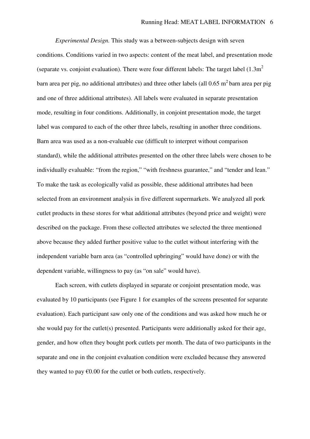*Experimental Design.* This study was a between-subjects design with seven conditions. Conditions varied in two aspects: content of the meat label, and presentation mode (separate vs. conjoint evaluation). There were four different labels: The target label  $(1.3m^2)$ barn area per pig, no additional attributes) and three other labels (all  $0.65 \text{ m}^2$  barn area per pig and one of three additional attributes). All labels were evaluated in separate presentation mode, resulting in four conditions. Additionally, in conjoint presentation mode, the target label was compared to each of the other three labels, resulting in another three conditions. Barn area was used as a non-evaluable cue (difficult to interpret without comparison standard), while the additional attributes presented on the other three labels were chosen to be individually evaluable: "from the region," "with freshness guarantee," and "tender and lean." To make the task as ecologically valid as possible, these additional attributes had been selected from an environment analysis in five different supermarkets. We analyzed all pork cutlet products in these stores for what additional attributes (beyond price and weight) were described on the package. From these collected attributes we selected the three mentioned above because they added further positive value to the cutlet without interfering with the independent variable barn area (as "controlled upbringing" would have done) or with the dependent variable, willingness to pay (as "on sale" would have).

Each screen, with cutlets displayed in separate or conjoint presentation mode, was evaluated by 10 participants (see Figure 1 for examples of the screens presented for separate evaluation). Each participant saw only one of the conditions and was asked how much he or she would pay for the cutlet(s) presented. Participants were additionally asked for their age, gender, and how often they bought pork cutlets per month. The data of two participants in the separate and one in the conjoint evaluation condition were excluded because they answered they wanted to pay  $\epsilon 0.00$  for the cutlet or both cutlets, respectively.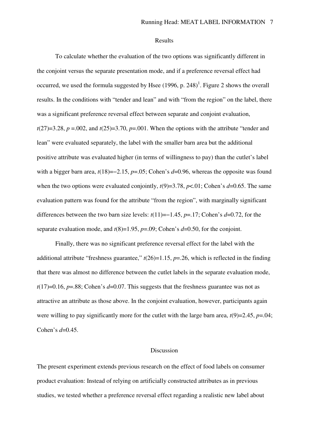#### Results

To calculate whether the evaluation of the two options was significantly different in the conjoint versus the separate presentation mode, and if a preference reversal effect had occurred, we used the formula suggested by Hsee  $(1996, p. 248)^{1}$ . Figure 2 shows the overall results. In the conditions with "tender and lean" and with "from the region" on the label, there was a significant preference reversal effect between separate and conjoint evaluation,  $t(27)=3.28$ ,  $p=.002$ , and  $t(25)=3.70$ ,  $p=.001$ . When the options with the attribute "tender and lean" were evaluated separately, the label with the smaller barn area but the additional positive attribute was evaluated higher (in terms of willingness to pay) than the cutlet's label with a bigger barn area, *t*(18)=−2.15, *p*=.05; Cohen's *d*=0.96, whereas the opposite was found when the two options were evaluated conjointly,  $t(9)=3.78$ ,  $p<.01$ ; Cohen's  $d=0.65$ . The same evaluation pattern was found for the attribute "from the region", with marginally significant differences between the two barn size levels: *t*(11)=−1.45, *p*=.17; Cohen's *d*=0.72, for the separate evaluation mode, and  $t(8)=1.95$ ,  $p=.09$ ; Cohen's  $d=0.50$ , for the conjoint.

Finally, there was no significant preference reversal effect for the label with the additional attribute "freshness guarantee,"  $t(26)=1.15$ ,  $p=.26$ , which is reflected in the finding that there was almost no difference between the cutlet labels in the separate evaluation mode,  $t(17)=0.16$ ,  $p=.88$ ; Cohen's  $d=0.07$ . This suggests that the freshness guarantee was not as attractive an attribute as those above. In the conjoint evaluation, however, participants again were willing to pay significantly more for the cutlet with the large barn area,  $t(9)=2.45$ ,  $p=.04$ ; Cohen's *d*=0.45.

## Discussion

The present experiment extends previous research on the effect of food labels on consumer product evaluation: Instead of relying on artificially constructed attributes as in previous studies, we tested whether a preference reversal effect regarding a realistic new label about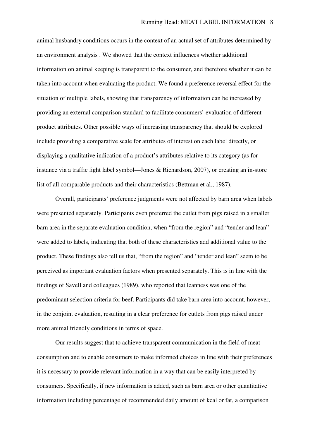animal husbandry conditions occurs in the context of an actual set of attributes determined by an environment analysis . We showed that the context influences whether additional information on animal keeping is transparent to the consumer, and therefore whether it can be taken into account when evaluating the product. We found a preference reversal effect for the situation of multiple labels, showing that transparency of information can be increased by providing an external comparison standard to facilitate consumers' evaluation of different product attributes. Other possible ways of increasing transparency that should be explored include providing a comparative scale for attributes of interest on each label directly, or displaying a qualitative indication of a product's attributes relative to its category (as for instance via a traffic light label symbol—Jones & Richardson, 2007), or creating an in-store list of all comparable products and their characteristics (Bettman et al., 1987).

Overall, participants' preference judgments were not affected by barn area when labels were presented separately. Participants even preferred the cutlet from pigs raised in a smaller barn area in the separate evaluation condition, when "from the region" and "tender and lean" were added to labels, indicating that both of these characteristics add additional value to the product. These findings also tell us that, "from the region" and "tender and lean" seem to be perceived as important evaluation factors when presented separately. This is in line with the findings of Savell and colleagues (1989), who reported that leanness was one of the predominant selection criteria for beef. Participants did take barn area into account, however, in the conjoint evaluation, resulting in a clear preference for cutlets from pigs raised under more animal friendly conditions in terms of space.

Our results suggest that to achieve transparent communication in the field of meat consumption and to enable consumers to make informed choices in line with their preferences it is necessary to provide relevant information in a way that can be easily interpreted by consumers. Specifically, if new information is added, such as barn area or other quantitative information including percentage of recommended daily amount of kcal or fat, a comparison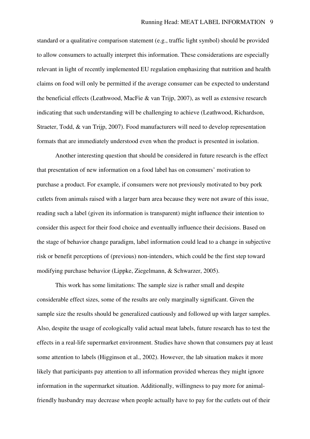standard or a qualitative comparison statement (e.g., traffic light symbol) should be provided to allow consumers to actually interpret this information. These considerations are especially relevant in light of recently implemented EU regulation emphasizing that nutrition and health claims on food will only be permitted if the average consumer can be expected to understand the beneficial effects (Leathwood, MacFie & van Trijp, 2007), as well as extensive research indicating that such understanding will be challenging to achieve (Leathwood, Richardson, Straeter, Todd, & van Trijp, 2007). Food manufacturers will need to develop representation formats that are immediately understood even when the product is presented in isolation.

Another interesting question that should be considered in future research is the effect that presentation of new information on a food label has on consumers' motivation to purchase a product. For example, if consumers were not previously motivated to buy pork cutlets from animals raised with a larger barn area because they were not aware of this issue, reading such a label (given its information is transparent) might influence their intention to consider this aspect for their food choice and eventually influence their decisions. Based on the stage of behavior change paradigm, label information could lead to a change in subjective risk or benefit perceptions of (previous) non-intenders, which could be the first step toward modifying purchase behavior (Lippke, Ziegelmann, & Schwarzer, 2005).

This work has some limitations: The sample size is rather small and despite considerable effect sizes, some of the results are only marginally significant. Given the sample size the results should be generalized cautiously and followed up with larger samples. Also, despite the usage of ecologically valid actual meat labels, future research has to test the effects in a real-life supermarket environment. Studies have shown that consumers pay at least some attention to labels (Higginson et al., 2002). However, the lab situation makes it more likely that participants pay attention to all information provided whereas they might ignore information in the supermarket situation. Additionally, willingness to pay more for animalfriendly husbandry may decrease when people actually have to pay for the cutlets out of their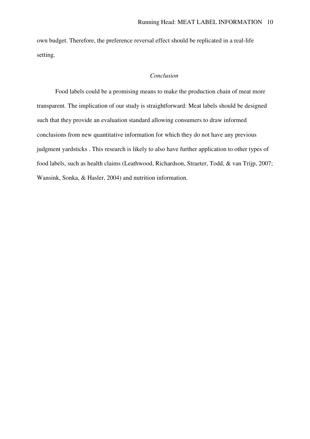own budget. Therefore, the preference reversal effect should be replicated in a real-life setting.

## *Conclusion*

Food labels could be a promising means to make the production chain of meat more transparent. The implication of our study is straightforward: Meat labels should be designed such that they provide an evaluation standard allowing consumers to draw informed conclusions from new quantitative information for which they do not have any previous judgment yardsticks . This research is likely to also have further application to other types of food labels, such as health claims (Leathwood, Richardson, Straeter, Todd, & van Trijp, 2007; Wansink, Sonka, & Hasler, 2004) and nutrition information.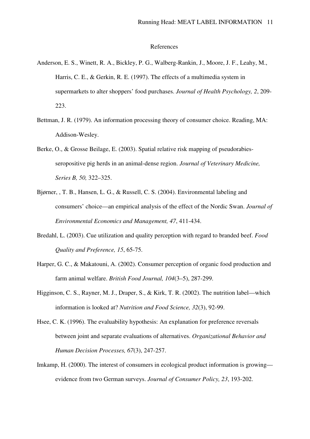### References

- Anderson, E. S., Winett, R. A., Bickley, P. G., Walberg-Rankin, J., Moore, J. F., Leahy, M., Harris, C. E., & Gerkin, R. E. (1997). The effects of a multimedia system in supermarkets to alter shoppers' food purchases. *Journal of Health Psychology, 2*, 209- 223.
- Bettman, J. R. (1979). An information processing theory of consumer choice. Reading, MA: Addison-Wesley.
- Berke, O., & Grosse Beilage, E. (2003). Spatial relative risk mapping of pseudorabiesseropositive pig herds in an animal-dense region. *Journal of Veterinary Medicine, Series B, 50,* 322–325.
- Bjørner, , T. B., Hansen, L. G., & Russell, C. S. (2004). Environmental labeling and consumers' choice—an empirical analysis of the effect of the Nordic Swan. *Journal of Environmental Economics and Management, 47*, 411-434.
- Bredahl, L. (2003). Cue utilization and quality perception with regard to branded beef. *Food Quality and Preference, 15*, 65-75.
- Harper, G. C., & Makatouni, A. (2002). Consumer perception of organic food production and farm animal welfare. *British Food Journal, 104*(3–5), 287-299.
- Higginson, C. S., Rayner, M. J., Draper, S., & Kirk, T. R. (2002). The nutrition label—which information is looked at? *Nutrition and Food Science, 32*(3), 92-99.
- Hsee, C. K. (1996). The evaluability hypothesis: An explanation for preference reversals between joint and separate evaluations of alternatives. *Organizational Behavior and Human Decision Processes, 67*(3), 247-257.
- Imkamp, H. (2000). The interest of consumers in ecological product information is growing evidence from two German surveys. *Journal of Consumer Policy, 23*, 193-202.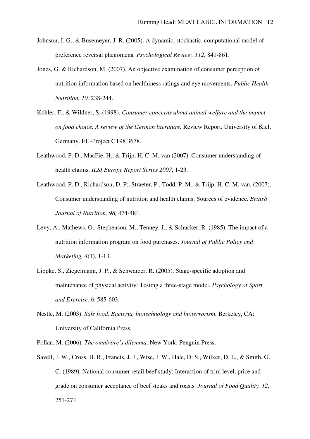- Johnson, J. G., & Busemeyer, J. R. (2005). A dynamic, stochastic, computational model of preference reversal phenomena*. Psychological Review, 112*, 841-861.
- Jones, G. & Richardson, M. (2007). An objective examination of consumer perception of nutrition information based on healthiness ratings and eye movements. *Public Health Nutrition, 10,* 238-244.
- Köhler, F., & Wildner, S. (1998). *Consumer concerns about animal welfare and the impact on food choice. A review of the German literature.* Review Report. University of Kiel, Germany. EU-Project CT98 3678.
- Leathwood, P. D., MacFie, H., & Trijp, H. C. M. van (2007). Consumer understanding of health claims. *ILSI Europe Report Series 2007*, 1-23.
- Leathwood, P. D., Richardson, D. P., Straeter, P., Todd, P. M., & Trijp, H. C. M. van. (2007). Consumer understanding of nutrition and health claims: Sources of evidence. *British Journal of Nutrition, 98,* 474-484.
- Levy, A., Mathews, O., Stephenson, M., Tenney, J., & Schucker, R. (1985). The impact of a nutrition information program on food purchases. *Journal of Public Policy and Marketing, 4*(1), 1-13.
- Lippke, S., Ziegelmann, J. P., & Schwarzer, R. (2005). Stage-specific adoption and maintenance of physical activity: Testing a three-stage model. *Psychology of Sport and Exercise, 6*, 585-603.
- Nestle, M. (2003). *Safe food. Bacteria, biotechnology and bioterrorism.* Berkeley, CA: University of California Press.
- Pollan, M. (2006). *The omnivore's dilemma*. New York: Penguin Press.
- Savell, J. W., Cross, H. R., Francis, J. J., Wise, J. W., Hale, D. S., Wilkes, D. L., & Smith, G. C. (1989). National consumer retail beef study: Interaction of trim level, price and grade on consumer acceptance of beef steaks and roasts*. Journal of Food Quality, 12*, 251-274.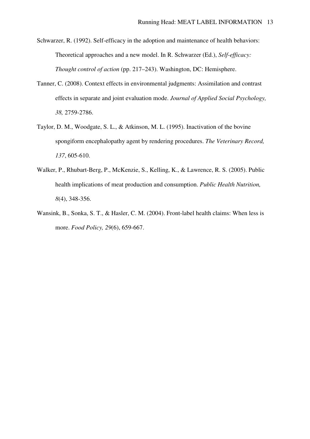Schwarzer, R. (1992). Self-efficacy in the adoption and maintenance of health behaviors: Theoretical approaches and a new model. In R. Schwarzer (Ed.), *Self-efficacy: Thought control of action* (pp. 217–243). Washington, DC: Hemisphere.

- Tanner, C. (2008). Context effects in environmental judgments: Assimilation and contrast effects in separate and joint evaluation mode. *Journal of Applied Social Psychology, 38,* 2759-2786.
- Taylor, D. M., Woodgate, S. L., & Atkinson, M. L. (1995). Inactivation of the bovine spongiform encephalopathy agent by rendering procedures. *The Veterinary Record, 137*, 605-610.
- Walker, P., Rhubart-Berg, P., McKenzie, S., Kelling, K., & Lawrence, R. S. (2005). Public health implications of meat production and consumption. *Public Health Nutrition, 8*(4), 348-356.
- Wansink, B., Sonka, S. T., & Hasler, C. M. (2004). Front-label health claims: When less is more. *Food Policy, 29*(6), 659-667.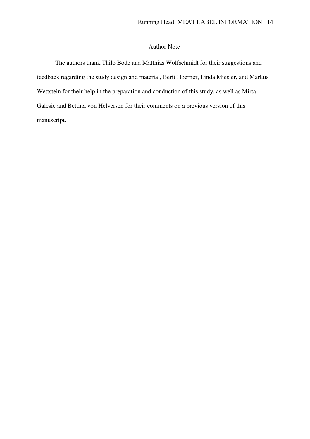## Author Note

The authors thank Thilo Bode and Matthias Wolfschmidt for their suggestions and feedback regarding the study design and material, Berit Hoerner, Linda Miesler, and Markus Wettstein for their help in the preparation and conduction of this study, as well as Mirta Galesic and Bettina von Helversen for their comments on a previous version of this manuscript.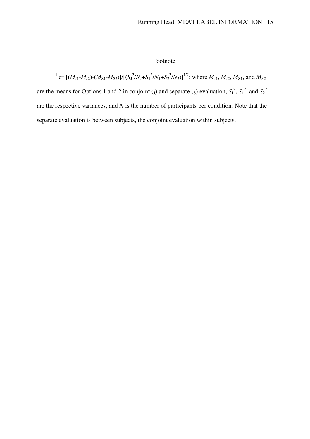# Footnote

 $M_1$  t=  $[(M_{J1} - M_{J2}) - (M_{S1} - M_{S2})]/[(S_J^2/N_J + S_I^2/N_I + S_2^2/N_2)]^{1/2}$ ; where  $M_{J1}$ ,  $M_{J2}$ ,  $M_{S1}$ , and  $M_{S2}$ are the means for Options 1 and 2 in conjoint (*j*) and separate (*s*) evaluation,  $S_1^2$ ,  $S_1^2$ , and  $S_2^2$ are the respective variances, and *N* is the number of participants per condition. Note that the separate evaluation is between subjects, the conjoint evaluation within subjects.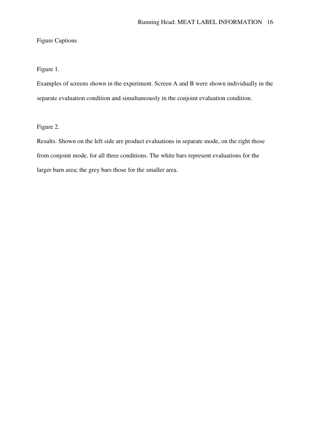# Figure Captions

## Figure 1.

Examples of screens shown in the experiment. Screen A and B were shown individually in the separate evaluation condition and simultaneously in the conjoint evaluation condition.

Figure 2.

Results. Shown on the left side are product evaluations in separate mode, on the right those from conjoint mode, for all three conditions. The white bars represent evaluations for the larger barn area; the grey bars those for the smaller area.